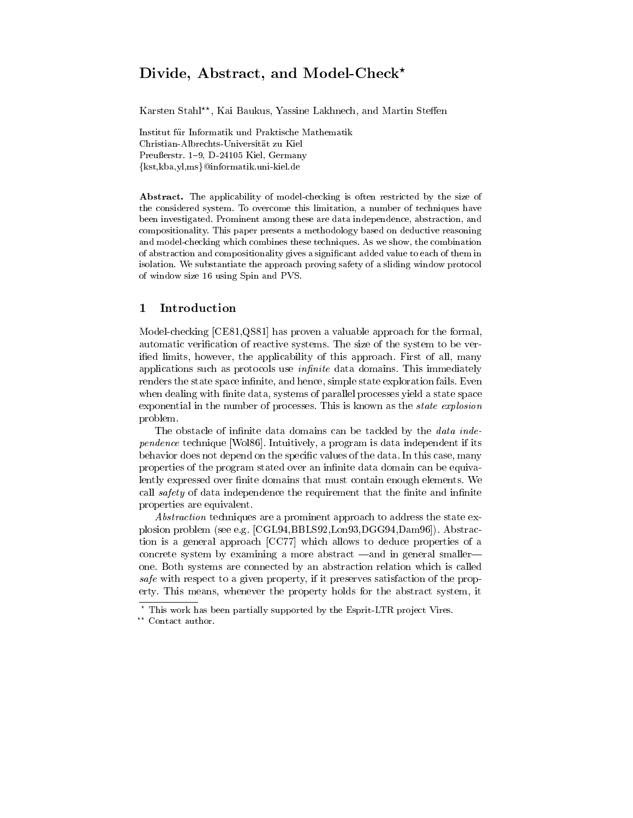# Divide, Abstract, and Model-Check\*

Karsten Stahl\*\*, Kai Baukus, Yassine Lakhnech, and Martin Steffen

Institut fur Informatik und Praktische Mathematik Christian-Albrechts-Universitat zu Kiel Preußerstr. 1-9, D-24105 Kiel, Germany  $\{kst,kba,yl,ms\}@informatik.uni-kiel.de$ 

Abstract. The applicability of model-checking is often restricted by the size of the considered system. To overcome this limitation, a number of techniques have been investigated. Prominent among these are data independence, abstraction, and compositionality. This paper presents a methodology based on deductive reasoning and model-checking which combines these techniques. As we show, the combination of abstraction and compositionality gives a signicant added value to each of them in isolation. We substantiate the approach proving safety of a sliding window protocol of window size 16 using Spin and PVS.

Model-checking [CE81,QS81] has proven a valuable approach for the formal, automatic verification of reactive systems. The size of the system to be veried limits, however, the applicability of this approach. First of all, many applications such as protocols use  $infinite$  data domains. This immediately renders the state space infinite, and hence, simple state exploration fails. Even when dealing with finite data, systems of parallel processes yield a state space exponential in the number of processes. This is known as the *state explosion* problem.

The obstacle of infinite data domains can be tackled by the *data inde*pendence technique [Wol86]. Intuitively, a program is data independent if its behavior does not depend on the specic values of the data. In this case, many properties of the program stated over an infinite data domain can be equivalently expressed over finite domains that must contain enough elements. We call *safety* of data independence the requirement that the finite and infinite properties are equivalent.

Abstraction techniques are a prominent approach to address the state explosion problem (see e.g. [CGL94,BBLS92,Lon93,DGG94,Dam96]). Abstraction isa general approach [CC77] which allows to deduce properties of a concrete system by examining a more abstract  $\text{---}$  and in general smaller one. Both systems are connected by an abstraction relation which is called safe with respect to a given property, if it preserves satisfaction of the property. This means, whenever the property holds for the abstract system, it

<sup>?</sup> This work has been partially supported by the Esprit-LTR pro ject Vires.

<sup>??</sup> Contact author.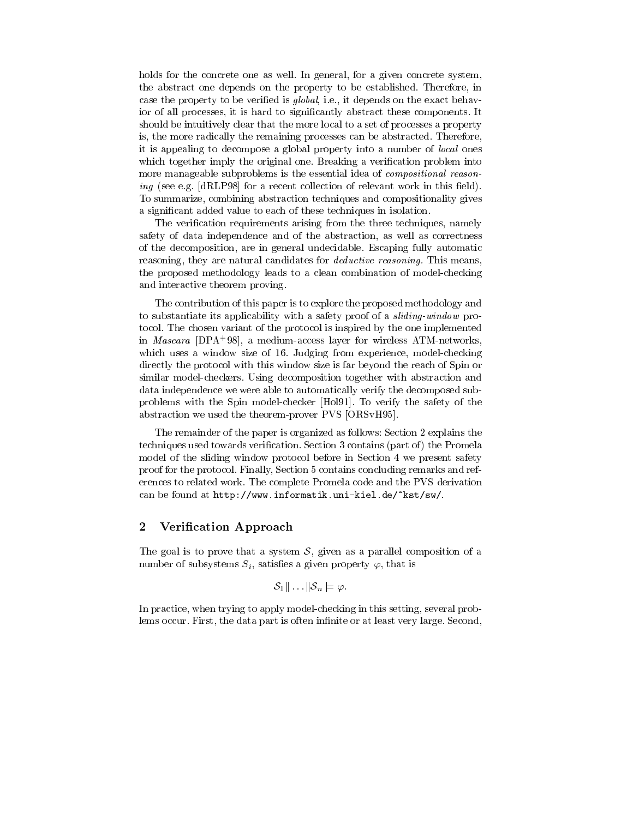holds for the concrete one as well. In general, for a given concrete system, the abstract one depends on the property to be established. Therefore, in case the property to be verified is *global*, i.e., it depends on the exact behavior of all processes, it is hard to signicantly abstract these components. It should be intuitively clear that the more local to a set of processes a property is, the more radically the remaining processes can be abstracted. Therefore, it is appealing to decompose a global property into a number of local ones which together imply the original one. Breaking a verification problem into more manageable subproblems is the essential idea of *compositional reason*ing (see e.g.  $[dRLP98]$  for a recent collection of relevant work in this field). To summarize, combining abstraction techniques and compositionality gives a signicant added value to each of these techniques in isolation.

The verification requirements arising from the three techniques, namely safety of data independence and of the abstraction, as well as correctness of the decomposition, are in general undecidable. Escaping fully automatic reasoning, they are natural candidates for *deductive reasoning*. This means, the proposed methodology leads to a clean combination of model-checking and interactive theorem proving.

The contribution of this paper is to explore the proposed methodology and to substantiate its applicability with a safety proof of a *sliding-window* protocol. The chosen variant of the protocol is inspired by the one implemented in Mascara [DPA+ 98], a medium-access layer for wireless ATM-networks, which uses a window size of 16. Judging from experience, model-checking directly the protocol with this window size is far beyond the reach of Spin or similar model-checkers. Using decomposition together with abstraction and data independence we were able to automatically verify the decomposed subproblems with the Spin model-checker [Hol91]. To verify the safety of the abstraction we used the theorem-prover PVS [ORSvH95].

The remainder of the paper is organized as follows: Section 2 explains the techniques used towards verication. Section 3 contains (part of ) the Promela model of the sliding window protocol before in Section 4 we present safety proof for the protocol. Finally, Section 5 contains concluding remarks and references to related work. The complete Promela code and the PVS derivation can be found at http://www.informatik.uni-kiel.de/~kst/sw/.

#### $\overline{2}$ Verification Approach

The goal is to prove that a system  $S$ , given as a parallel composition of a number of subsystems  $S_i$ , satisfies a given property  $\varphi$ , that is

$$
\mathcal{S}_1||\ldots||\mathcal{S}_n| = \varphi.
$$

In practice, when trying to apply model-checking in this setting, several problems occur. First, the data part is often infinite or at least very large. Second,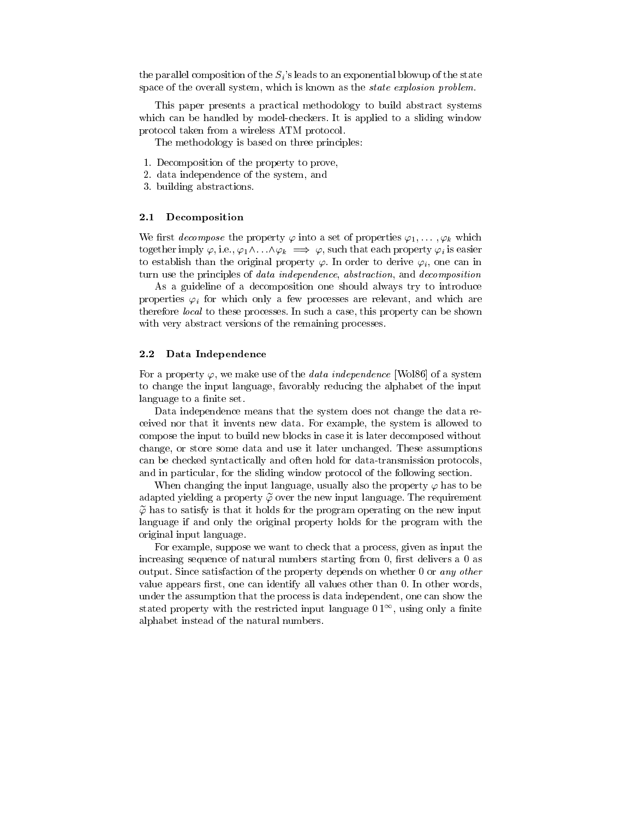the parallel composition of the  $S_i$ 's leads to an exponential blowup of the state space of the overall system, which is known as the *state explosion problem*.

This paper presents a practical methodology to build abstract systems which can be handled by model-checkers. It is applied to a sliding window protocol taken from a wireless ATM protocol.

The methodology is based on three principles:

- 1. Decomposition of the property to prove,
- 2. data independence of the system, and
- 3. building abstractions.

## 2.1 Decomposition

We first *decompose* the property  $\varphi$  into a set of properties  $\varphi_1,\ldots,\varphi_k$  which together imply  $\varphi$ , i.e.,  $\varphi_1 \wedge \ldots \wedge \varphi_k \implies \varphi$ , such that each property  $\varphi_i$  is easier to establish than the original property  $\varphi$ . In order to derive  $\varphi_i$ , one can in turn use the principles of *data independence*, *abstraction*, and *decomposition* 

As a guideline of a decomposition one should always try to introduce properties  $\varphi_i$  for which only a few processes are relevant, and which are therefore *local* to these processes. In such a case, this property can be shown with very abstract versions of the remaining processes.

#### 2.2 Data Independence

For a property  $\varphi$ , we make use of the *data independence* [Wol86] of a system to change the input language, favorably reducing the alphabet of the input language to a finite set.

Data independence means that the system does not change the data received nor that it invents new data. For example, the system is allowed to compose the input to build new blocks in case it is later decomposed without change, or store some data and use it later unchanged. These assumptions can be checked syntactically and often hold for data-transmission protocols, and in particular, for the sliding window protocol of the following section.

When changing the input language, usually also the property  $\varphi$  has to be adapted yielding a property  $\tilde{\varphi}$  over the new input language. The requirement  $\tilde{\varphi}$  has to satisfy is that it holds for the program operating on the new input language if and only the original property holds for the program with the original input language.

For example, suppose we want to check that a process, given as input the increasing sequence of natural numbers starting from  $0$ , first delivers a  $0$  as output. Since satisfaction of the property depends on whether 0 or any other value appears first, one can identify all values other than 0. In other words, under the assumption that the process is data independent, one can show the stated property with the restricted input language  $01^{\infty}$ , using only a finite alphabet instead of the natural numbers.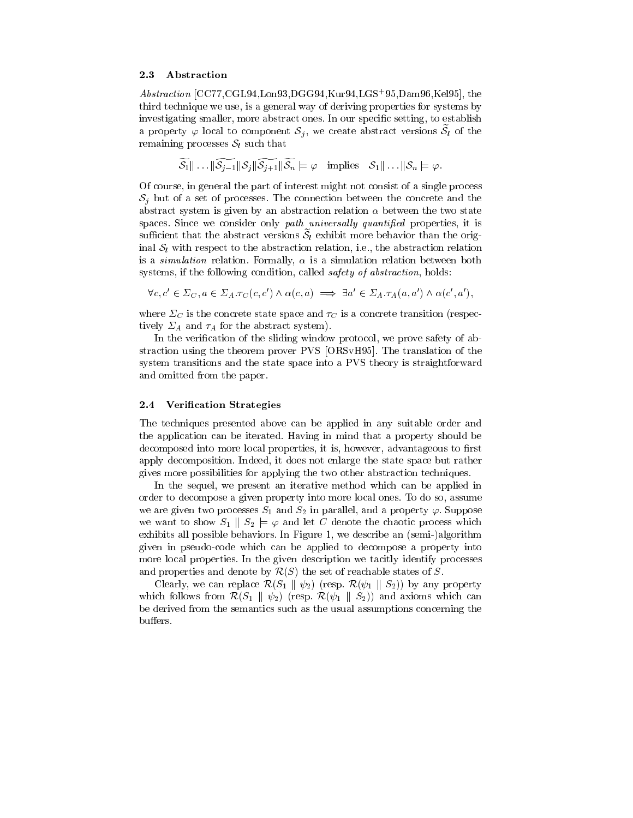### 2.3 Abstraction

 $A$ *ustraction*  $[\text{CC17},\text{CC194},\text{LOH95},\text{DGG94},\text{K4H94},\text{LC5-95},\text{Daff90},\text{KeI95}],$  the third technique we use, is a general way of deriving properties for systems by investigating smaller, more abstract ones. In our specic setting, to establish a property  $\varphi$  local to component  ${\cal S}_i$ , we create abstract versions  $\widetilde{\cal S}_l$  of the remaining processes  $S_l$  such that

$$
\widetilde{\mathcal{S}_1} \| \dots \| \widetilde{\mathcal{S}_{j-1}} \| \mathcal{S}_j \| \widetilde{\mathcal{S}_{j+1}} \| \widetilde{\mathcal{S}_n} \models \varphi \quad \text{implies} \quad \mathcal{S}_1 \| \dots \| \mathcal{S}_n \models \varphi.
$$

Of course, in general the part of interest might not consist of a single process  $S_i$  but of a set of processes. The connection between the concrete and the abstract system is given by an abstraction relation  $\alpha$  between the two state spaces. Since we consider only path universally quantified properties, it is sufficient that the abstract versions  $\widetilde{\mathcal{S}}_l$  exhibit more behavior than the original  $S_l$  with respect to the abstraction relation, i.e., the abstraction relation is a *simulation* relation. Formally,  $\alpha$  is a simulation relation between both systems, if the following condition, called *safety of abstraction*, holds:

$$
\forall c, c' \in \Sigma_C, a \in \Sigma_A. \tau_C(c, c') \land \alpha(c, a) \implies \exists a' \in \Sigma_A. \tau_A(a, a') \land \alpha(c', a'),
$$

where  $\Sigma_C$  is the concrete state space and  $\tau_C$  is a concrete transition (respectively  $\Sigma_A$  and  $\tau_A$  for the abstract system).

In the verification of the sliding window protocol, we prove safety of abstraction using the theorem prover PVS [ORSvH95]. The translation of the system transitions and the state space into a PVS theory is straightforward and omitted from the paper.

#### 2.4 Verication Strategies

The techniques presented above can be applied in any suitable order and the application can be iterated. Having in mind that a property should be decomposed into more local properties, it is, however, advantageous to first apply decomposition. Indeed, it does not enlarge the state space but rather gives more possibilities for applying the two other abstraction techniques.

In the sequel, we present an iterative method which can be applied in order to decompose a given property into more local ones. To do so, assume we are given two processes  $S_1$  and  $S_2$  in parallel, and a property  $\varphi$ . Suppose we want to show  $S_1 \parallel S_2 \models \varphi$  and let C denote the chaotic process which exhibits all possible behaviors. In Figure 1, we describe an (semi-)algorithm given in pseudo-code which can be applied to decompose a property into more local properties. In the given description we tacitly identify processes and properties and denote by  $\mathcal{R}(S)$  the set of reachable states of S.

Clearly, we can replace  $\mathcal{R}(S_1 \parallel \psi_2)$  (resp.  $\mathcal{R}(\psi_1 \parallel S_2)$ ) by any property which follows from  $\mathcal{R}(S_1 \parallel \psi_2)$  (resp.  $\mathcal{R}(\psi_1 \parallel S_2)$ ) and axioms which can be derived from the semantics such as the usual assumptions concerning the buffers.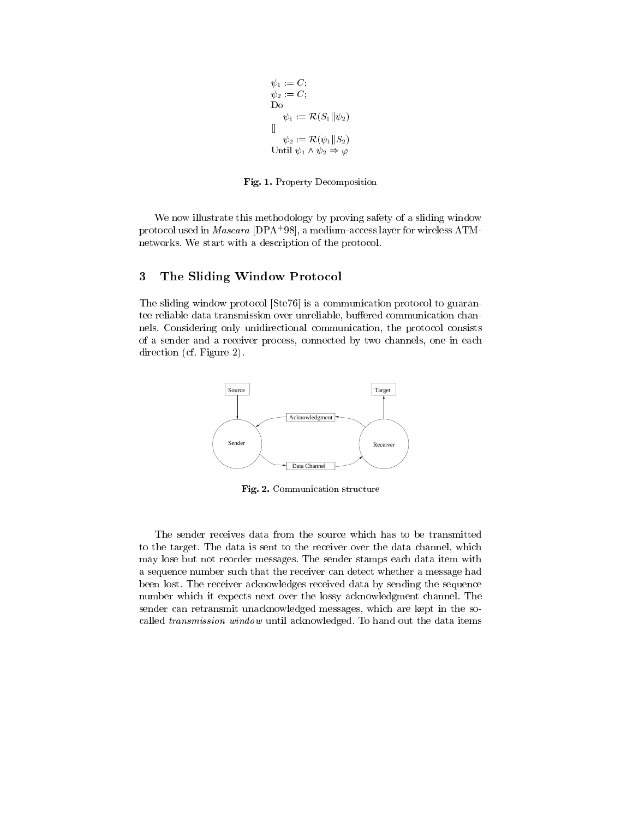```
\psi_1 := C;\psi_2 := C;Do
      \psi_1 := \mathcal{R}(S_1 || \psi_2)\overline{\phantom{a}}\psi_2 := \mathcal{R}(\psi_1 \| S_2)Until \psi_1 \wedge \psi_2 \Rightarrow \varphi
```
Fig. 1. Property Decomposition

We now illustrate this methodology by proving safety of a sliding window protocol used in Mascara [DPA+ 98], a medium-access layer for wireless ATMnetworks. We start with a description of the protocol.

#### 3 The Sliding Window Protocol

The sliding window protocol [Ste76] is a communication protocol to guarantee reliable data transmission over unreliable, buffered communication channels. Considering only unidirectional communication, the protocol consists of a sender and a receiver process, connected by two channels, one in each direction (cf. Figure 2).



Fig. 2. Communication structure

The sender receives data from the source which has to be transmitted to the target. The data is sent to the receiver over the data channel, which may lose but not reorder messages. The sender stamps each data item with a sequence number such that the receiver can detect whether a message had been lost. The receiver acknowledges received data by sending the sequence number which it expects next over the lossy acknowledgment channel. The sender can retransmit unacknowledged messages, which are kept in the socalled transmission window until acknowledged. To hand out the data items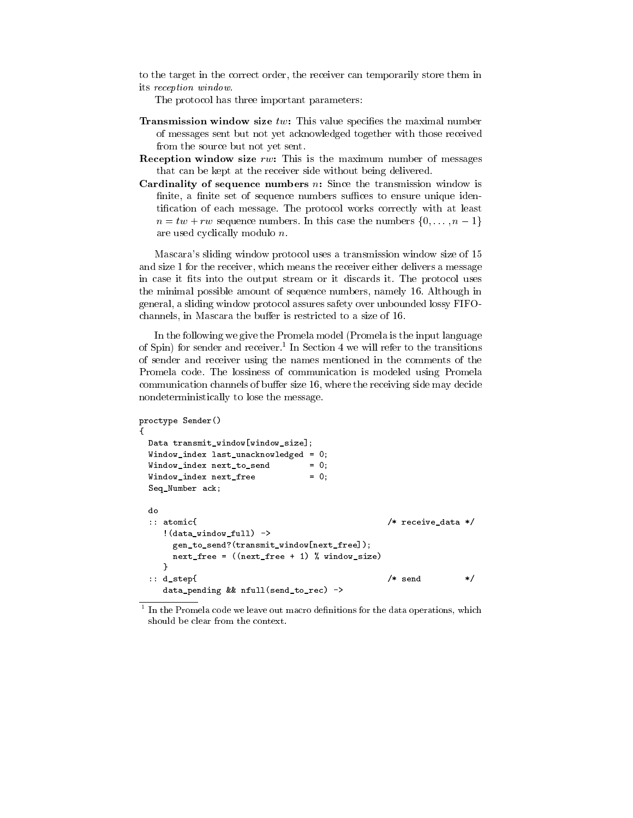to the target in the correct order, the receiver can temporarily store them in its reception window. its reception window. The contract of the contract of the contract of the contract of the contract of the contract of the contract of the contract of the contract of the contract of the contract of the contract of the cont

The protocol has three important parameters:

- **Transmission window size** tw: This value specifies the maximal number of messages sent but not yet acknowledged together with those received from the source but not yet sent.
- Reception window size  $rw$ : This is the maximum number of messages that can be kept at the receiver side without being delivered.
- Cardinality of sequence numbers  $n$ : Since the transmission window is finite, a finite set of sequence numbers suffices to ensure unique identication of each message. The protocol works correctly with at least  $n = tw + rw$  sequence numbers. In this case the numbers  $\{0, \ldots, n-1\}$ are used cyclically modulo n.

Mascara's sliding window protocol uses a transmission window size of 15 and size 1 for the receiver, which means the receiver either delivers a message in case it fits into the output stream or it discards it. The protocol uses the minimal possible amount of sequence numbers, namely 16. Although in general, a sliding window protocol assures safety over unbounded lossy FIFOchannels, in Mascara the buffer is restricted to a size of 16.

In the following we give the Promela model (Promela is the input language of Spin) for sender and receiver. In Section 4 we will refer to the transitions of sender and receiver using the names mentioned in the comments of the Promela code. The lossiness of communication is modeled using Promela communication channels of buffer size 16, where the receiving side may decide nondeterministically to lose the message.

```
proctype Sender()
f.
\overline{\phantom{a}}Data transmit_window[window_size];
   windowing last \sim 100 \mu is a continuous last \sim 0; where \sim 0; where \sim 0; where \sim 0; where \sim 0; where \sim 0; where \sim 0; where \sim 0; where \sim 0; where \sim 0; where \sim 0; where \sim 0; where \simWindow_index next_to_send = 0;
   m = 0; m = 0; m = 0; m = 0; m = 0; m = 0; m = 0; m = 0; m = 0; m = 0; m = 0; m = 0; m = 0; m = 0; m = 0; m = 0; m = 0; m = 0; m = 0; m = 0; m = 0; m = 0; m = 0; m = 0; m = 0; m = 0; m = 0; m = 0Seq_Number ack;
  do
                                                                               /* receive_data */
  :: atomic{
        !(data_window_full) ->
          gen_to_send?(transmit_window[next_free]);next_free ((next free + 1) % windows the 1) windows
       }:: d_step{
                                                                                /* send
         d_step{ /* send */
```
data approximating  $\alpha$  and  $\alpha$  is the new particle of  $\alpha$  in  $\alpha$ 

 $^\circ$  In the Promela code we leave out macro definitions for the data operations, which should be clear from the context.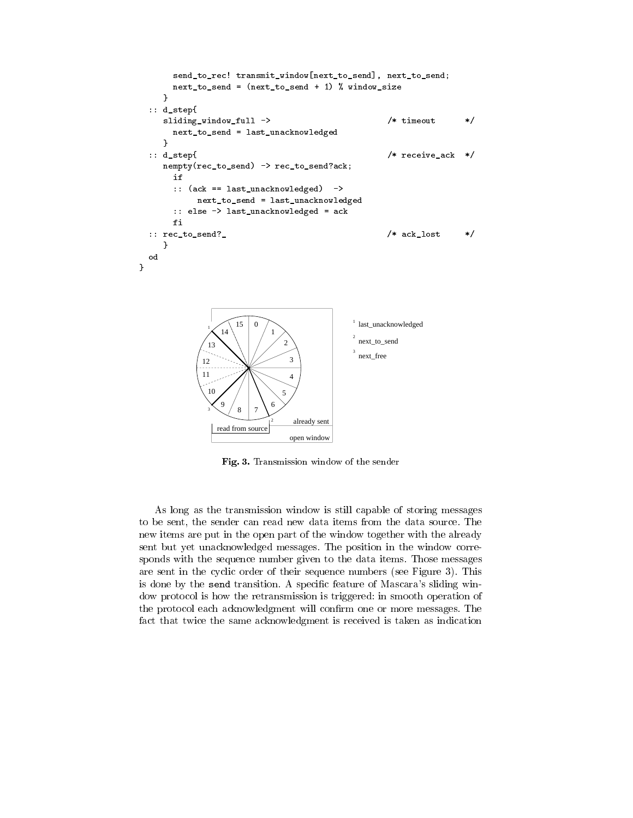```
send_to_rec! transmit_window[next_to_send], next_to_send;
        next_to_send (next-to_send + 1) % window_size-
     }:: d_step{
     sliding_window_full ->
                                                           /* timeout *next_to_toma = last_unachmonethy
     }:: d_step{
                                                           /* receive_ack */
      nempty(rec_to_send) -> rec_to_send?ack;
        if:: (ack == last_unacknowledged) ->
              next_to_send = last_unacknowledged
        :: else -> last_unacknowledged = ack
        fi:: recognized the contract of the contract of the contract of the contract of the contract of the contract of the contract of the contract of the contract of the contract of the contract of the contract of the contract of 
     }od}
```


Fig. 3. Transmission window of the sender

As long as the transmission window is still capable of storing messages to be sent, the sender can read new data items from the data source. The new items are put in the open part of the window together with the already sent but yet unacknowledged messages. The position in the window corresponds with the sequence number given to the data items. Those messages are sent in the cyclic order of their sequence numbers (see Figure 3). This is done by the send transition. A specific feature of Mascara's sliding window protocol is how the retransmission is triggered: in smooth operation of the protocol each acknowledgment will confirm one or more messages. The fact that twice the same acknowledgment is received is taken as indication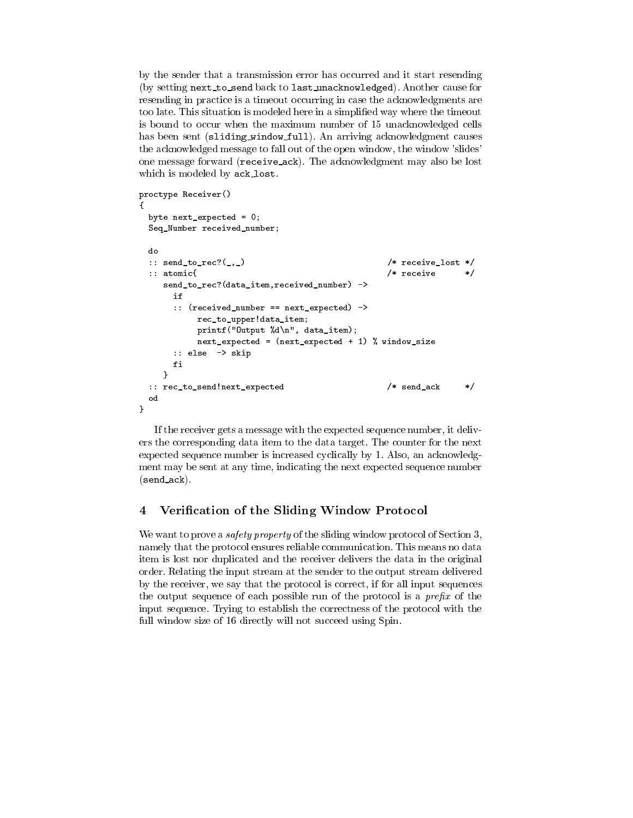by the sender that a transmission error has occurred and it start resending (by setting next to send back to last unacknowledged). Another cause for resending in practice is a timeout occurring in case the acknowledgments are too late. This situation is modeled here in a simplified way where the timeout is bound to occur when the maximum number of 15 unacknowledged cells has been sent (sliding window full). An arriving acknowledgment causes the acknowledged message to fall out of the open window, the window 'slides' one message forward (receive ack). The acknowledgment may also be lost which is modeled by ack lost.

```
proctype Receiver()
\overline{\phantom{a}}byte nexterne die op die op die op die op die op die op die op die op die op die op die op die op die op die o
  Seq_Number received_number;
 do:: send_to_rec.(_,_) /* receive_receive_1
  :: atomic{
                                                        /* receive */send_to_rec?(data_item,received_number) ->
       if
        :: (received_number == next_expected) ->
            rec_to_upper!data_item;printf("Output", data_item);
             next_expected = (next_expected + 1) % window_size
        :: else -> skip
       fi}:: reconstruction of the construction of the construction of the construction of the construction of the constr
 od}
```
If the receiver gets a message with the expected sequence number, it delivers the corresponding data item to the data target. The counter for the next expected sequence number is increased cyclically by 1. Also, an acknowledgment may be sent at any time, indicating the next expected sequence number (send ack).

#### $\overline{4}$ Verification of the Sliding Window Protocol

We want to prove a *safety property* of the sliding window protocol of Section 3, namely that the protocol ensures reliable communication. This means no data item is lost nor duplicated and the receiver delivers the data in the original order. Relating the input stream at the sender to the output stream delivered by the receiver, we say that the protocol is correct, if for all input sequences the output sequence of each possible run of the protocol is a *prefix* of the input sequence. Trying to establish the correctness of the protocol with the full window size of 16 directly will not succeed using Spin.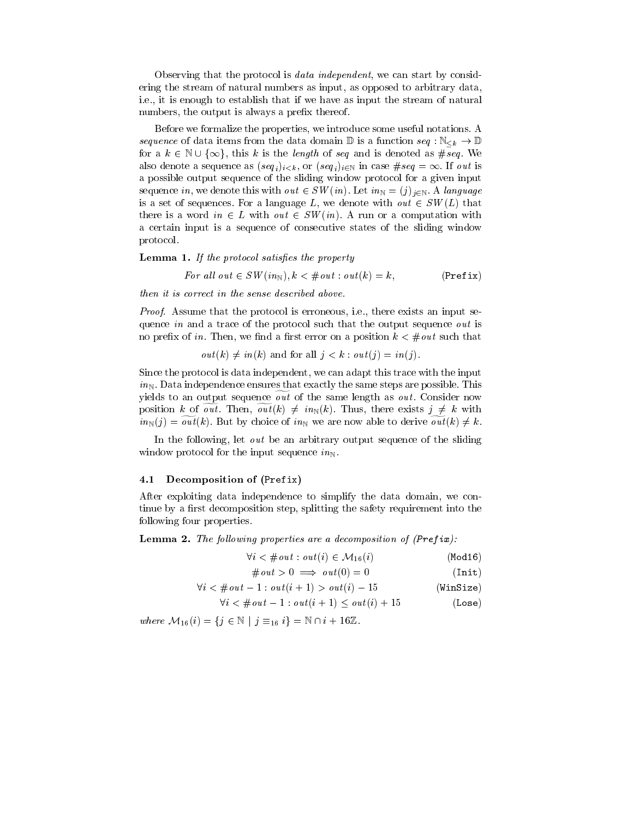Observing that the protocol is *data independent*, we can start by considering the stream of natural numbers as input, as opposed to arbitrary data, i.e., it is enough to establish that if we have as input the stream of natural numbers, the output is always a prefix thereof.

Before we formalize the properties, we introduce some useful notations. A sequence of data items from the data domain  $\mathbb D$  is a function seq :  $\mathbb N_{\leq k} \to \mathbb D$ for a  $k \in \mathbb{N} \cup \{\infty\}$ , this k is the length of seq and is denoted as #seq. We also denote a sequence as  $(seq_i)_{i\leq k},$  or  $(seq_i)_{i\in \mathbb{N}}$  in case  $\#seq = \infty.$  If  $out$  is a possible output sequence of the sliding window protocol for a given input sequence in, we denote this with out  $\in SW (in)$ . Let  $in_{\mathbb{N}} = (j)_{j \in \mathbb{N}}$ . A language is a set of sequences. For a language L, we denote with  $out \in SW(L)$  that there is a word in  $\in L$  with out  $\in SW(in)$ . A run or a computation with a certain input is a sequence of consecutive states of the sliding window protocol.

**Lemma 1.** If the protocol satisfies the property

For all out 
$$
\in SW(in_{\mathbb{N}}), k < \text{#}out : out(k) = k,
$$
 (Prefix)

then it is correct in the sense described above.

Proof. Assume that the protocol is erroneous, i.e., there exists an input sequence in and a trace of the protocol such that the output sequence *out* is no prefix of in. Then, we find a first error on a position  $k \leq \text{\#}out$  such that

$$
out(k) \neq in(k)
$$
 and for all  $j < k : out(j) = in(j)$ .

Since the protocol is data independent, we can adapt this trace with the input  $in_{\mathbb{N}}$ . Data independence ensures that exactly the same steps are possible. This yields to an output sequence *out* of the same length as *out*. Consider now position k of  $\widetilde{\it out}$ . Then,  $\widetilde{\it out}(k) \neq \overline{\it in}_{\mathbb{N}}(k)$ . Thus, there exists  $j \neq k$  with  $in_N(j) = out(k)$ . But by choice of  $in_N$  we are now able to derive  $out(k) \neq k$ .

In the following, let *out* be an arbitrary output sequence of the sliding window protocol for the input sequence  $in_{\mathbb{N}}$ .

#### 4.1 Decomposition of (Prefix)

After exploiting data independence to simplify the data domain, we continue by a first decomposition step, splitting the safety requirement into the following four properties.

**Lemma 2.** The following properties are a decomposition of  $(Prefix):$ 

$$
\forall i < \text{#} \, out : \, out(i) \in \mathcal{M}_{16}(i) \tag{Mod16}
$$

$$
\#out > 0 \implies out(0) = 0 \tag{Init}
$$

$$
\forall i < \text{#} \, out \, -1 : \, out(i+1) > \, out(i) -15 \qquad \qquad \text{(WinSize)}
$$

$$
\forall i < \#out - 1 : out(i+1) \le out(i) + 15 \tag{Loss}
$$

where  $\mathcal{M}_{16}(i) = \{j \in \mathbb{N} \mid j \equiv_{16} i\} = \mathbb{N} \cap i + 16\mathbb{Z}.$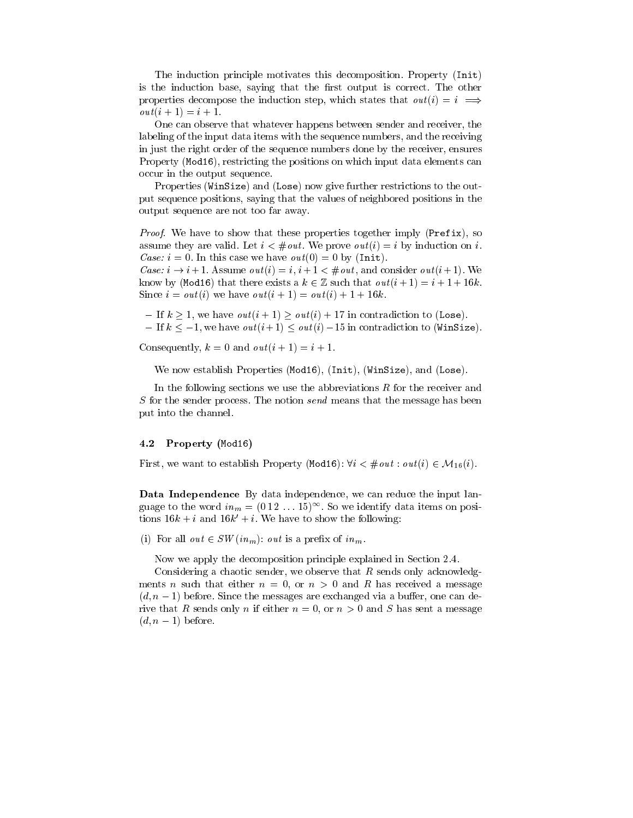The induction principle motivates this decomposition. Property (Init) is the induction base, saying that the first output is correct. The other properties decompose the induction step, which states that  $out(i) = i \implies$  $out(i + 1) = i + 1.$ 

One can observe that whatever happens between sender and receiver, the labeling of the input data items with the sequence numbers, and the receiving in just the right order of the sequence numbers done by the receiver, ensures Property (Mod16), restricting the positions on which input data elements can occur in the output sequence.

Properties (WinSize) and (Lose) now give further restrictions to the output sequence positions, saying that the values of neighbored positions in the output sequence are not too far away.

Proof. We have to show that these properties together imply (Prefix), so assume they are valid. Let  $i < #out$ . We prove  $out(i) = i$  by induction on i. Case:  $i = 0$ . In this case we have  $out(0) = 0$  by (Init).

Case:  $i \rightarrow i+1$ . Assume  $out(i) = i$ ,  $i+1 < #out$ , and consider  $out(i+1)$ . We know by (Mod16) that there exists a  $k \in \mathbb{Z}$  such that  $out(i+1) = i+1+16k$ . Since  $i = out(i)$  we have  $out(i + 1) = out(i) + 1 + 16k$ .

 ${\rm I}$  If  $k \geq 1$ , we have  $\text{out}(i + 1) \geq \text{out}(i) + 17$  in contradiction to (Lose).

 ${\rm I}$  If  $k \le -1$ , we have  $\mathit{out}(i+1) \le \mathit{out}(i)-15$  in contradiction to (WinSize).

Consequently,  $k = 0$  and  $out(i + 1) = i + 1$ .

We now establish Properties (Mod16), (Init), (WinSize), and (Lose).

In the following sections we use the abbreviations  $R$  for the receiver and S for the sender process. The notion send means that the message has been put into the channel.

#### 4.2 Property (Mod16)

First, we want to establish Property (Mod16):  $\forall i \leq \text{#} out : out(i) \in \mathcal{M}_{16}(i)$ .

Data Independence By data independence, we can reduce the input language to the word  $in_m = (012 \dots 15)^\infty$ . So we identify data items on positions  $16k + i$  and  $16k' + i$ . We have to show the following:

(i) For all  $out \in SW(in_m)$ : out is a prefix of  $in_m$ .

Now we apply the decomposition principle explained in Section 2.4.

Considering a chaotic sender, we observe that  $R$  sends only acknowledgments n such that either  $n = 0$ , or  $n > 0$  and R has received a message  $(d, n - 1)$  before. Since the messages are exchanged via a buffer, one can derive that R sends only n if either  $n = 0$ , or  $n > 0$  and S has sent a message  $(d, n - 1)$  before.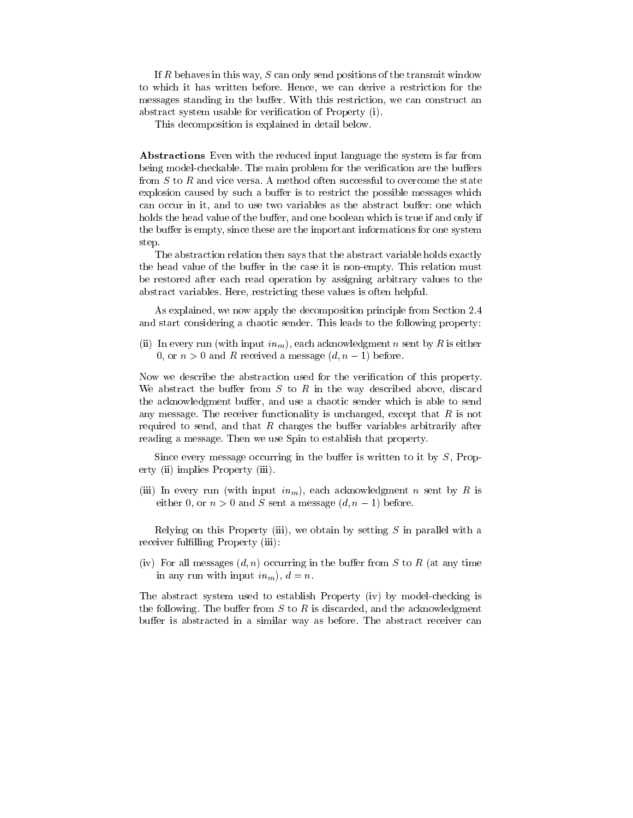If R behaves in this way, S can only send positions of the transmit window to which it has written before. Hence, we can derive a restriction for the messages standing in the buffer. With this restriction, we can construct an abstract system usable for verication of Property (i).

This decomposition is explained in detail below.

Abstractions Even with the reduced input language the system is far from being model-checkable. The main problem for the verification are the buffers from  $S$  to  $R$  and vice versa. A method often successful to overcome the state explosion caused by such a buffer is to restrict the possible messages which can occur in it, and to use two variables as the abstract buffer: one which holds the head value of the buffer, and one boolean which is true if and only if the buffer is empty, since these are the important informations for one system step.

The abstraction relation then says that the abstract variable holds exactly the head value of the buffer in the case it is non-empty. This relation must be restored after each read operation by assigning arbitrary values to the abstract variables. Here, restricting these values is often helpful.

As explained, we now apply the decomposition principle from Section 2.4 and start considering a chaotic sender. This leads to the following property:

(ii) In every run (with input  $in_m$ ), each acknowledgment n sent by R is either 0, or  $n > 0$  and R received a message  $(d, n - 1)$  before.

Now we describe the abstraction used for the verication of this property. We abstract the buffer from  $S$  to  $R$  in the way described above, discard the acknowledgment buffer, and use a chaotic sender which is able to send any message. The receiver functionality is unchanged, except that  $R$  is not required to send, and that  $R$  changes the buffer variables arbitrarily after reading a message. Then we use Spin to establish that property.

Since every message occurring in the buffer is written to it by  $S$ , Property (ii) implies Property (iii).

(iii) In every run (with input  $in_m$ ), each acknowledgment n sent by R is either 0, or  $n > 0$  and S sent a message  $(d, n - 1)$  before.

Relying on this Property (iii), we obtain by setting  $S$  in parallel with a receiver fulfilling Property (iii):

(iv) For all messages  $(d, n)$  occurring in the buffer from S to R (at any time in any run with input  $in_m$ ),  $d = n$ .

The abstract system used to establish Property (iv) by model-checking is the following. The buffer from  $S$  to  $R$  is discarded, and the acknowledgment buffer is abstracted in a similar way as before. The abstract receiver can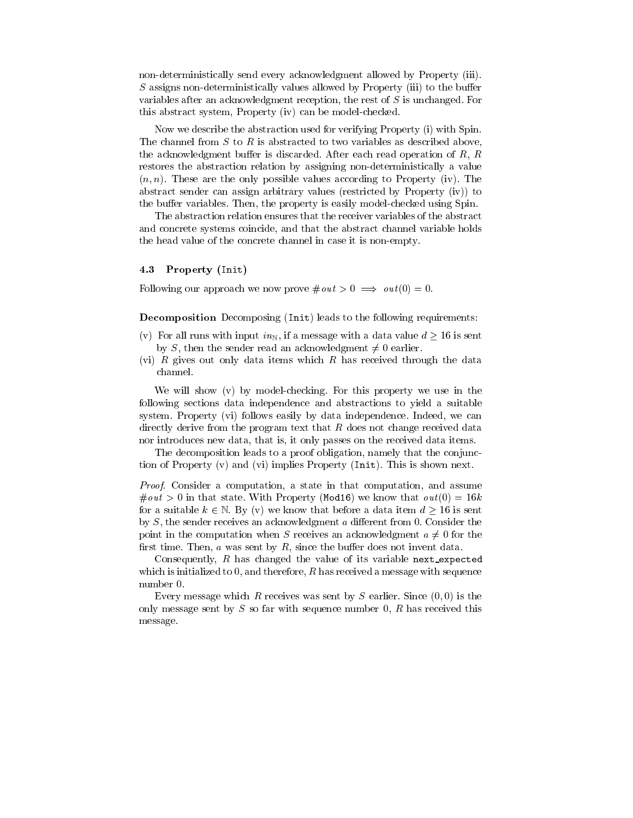non-deterministically send every acknowledgment allowed by Property (iii).  $S$  assigns non-deterministically values allowed by Property (iii) to the buffer variables after an acknowledgment reception, the rest of <sup>S</sup> is unchanged. For this abstract system, Property (iv) can be model-checked.

Now we describe the abstraction used for verifying Property (i) with Spin. The channel from  $S$  to  $R$  is abstracted to two variables as described above. the acknowledgment buffer is discarded. After each read operation of  $R, R$ restores the abstraction relation by assigning non-deterministically a value  $(n, n)$ . These are the only possible values according to Property (iv). The abstract sender can assign arbitrary values (restricted by Property (iv)) to the buffer variables. Then, the property is easily model-checked using Spin.

The abstraction relation ensures that the receiver variables of the abstract and concrete systems coincide, and that the abstract channel variable holds the head value of the concrete channel in case it is non-empty.

### 4.3 Property (Init)

Following our approach we now prove  $\text{\#}out > 0 \implies out(0) = 0$ .

Decomposition Decomposing (Init) leads to the following requirements:

- (v) For all runs with input  $in_{\mathbb{N}}$ , if a message with a data value  $d \geq 16$  is sent by S, then the sender read an acknowledgment  $\neq 0$  earlier.
- (vi)  $R$  gives out only data items which  $R$  has received through the data channel.

We will show (v) by model-checking. For this property we use in the following sections data independence and abstractions to yield a suitable system. Property (vi) follows easily by data independence. Indeed, we can directly derive from the program text that  $R$  does not change received data nor introduces new data, that is, it only passes on the received data items.

The decomposition leads to a proof obligation, namely that the conjunction of Property (v) and (vi) implies Property (Init). This is shown next.

Proof. Consider a computation, a state in that computation, and assume  $\#out > 0$  in that state. With Property (Mod16) we know that  $out(0) = 16k$ for a suitable  $k \in \mathbb{N}$ . By (v) we know that before a data item  $d > 16$  is sent by  $S$ , the sender receives an acknowledgment  $a$  different from 0. Consider the point in the computation when S receives an acknowledgment  $a \neq 0$  for the first time. Then, a was sent by R, since the buffer does not invent data.

Consequently,  $R$  has changed the value of its variable next expected which is initialized to 0, and therefore,  $R$  has received a message with sequence number 0.

Every message which R receives was sent by S earlier. Since  $(0,0)$  is the only message sent by  $S$  so far with sequence number 0,  $R$  has received this message.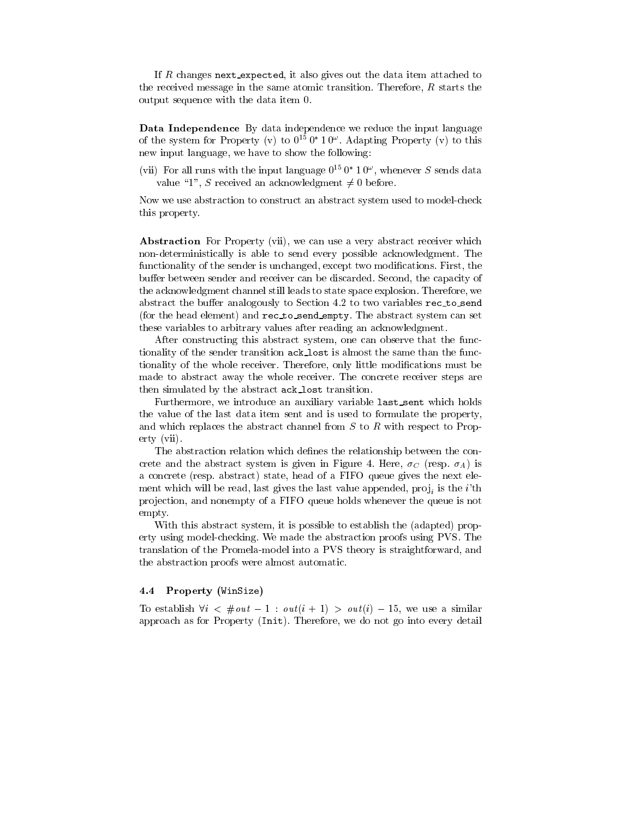If R changes next expected, it also gives out the data item attached to the received message in the same atomic transition. Therefore,  $R$  starts the output sequence with the data item 0.

Data Independence By data independence we reduce the input language of the system for Property (v) to 0<sup>--</sup> 0 T 0<sup>-</sup>. Adapting Property (v) to this new input language, we have to show the following:

(VII) For all runs with the input language  $0^{\circ}$  O  $1.0^{\circ}$ , whenever  $S$  sends data value "1", S received an acknowledgment  $\neq 0$  before.

Now we use abstraction to construct an abstract system used to model-check this property.

Abstraction For Property (vii), we can use a very abstract receiver which non-deterministically is able to send every possible acknowledgment. The functionality of the sender is unchanged, except two modifications. First, the buffer between sender and receiver can be discarded. Second, the capacity of the acknowledgment channel still leads to state space explosion. Therefore, we abstract the buffer analogously to Section 4.2 to two variables  $rec\_to\_send$ (for the head element) and rec to send empty. The abstract system can set these variables to arbitrary values after reading an acknowledgment.

After constructing this abstract system, one can observe that the functionality of the sender transition ack lost is almost the same than the functionality of the whole receiver. Therefore, only little modications must be made to abstract away the whole receiver. The concrete receiver steps are then simulated by the abstract ack lost transition.

Furthermore, we introduce an auxiliary variable last sent which holds the value of the last data item sent and is used to formulate the property, and which replaces the abstract channel from  $S$  to  $R$  with respect to Property (vii).

The abstraction relation which defines the relationship between the concrete and the abstract system is given in Figure 4. Here,  $\sigma_C$  (resp.  $\sigma_A$ ) is a concrete (resp. abstract) state, head of a FIFO queue gives the next element which will be read, last gives the last value appended,  $\text{proj}_i$  is the  $i\text{'th}$ pro jection, and nonempty of a FIFO queue holds whenever the queue is not empty.

With this abstract system, it is possible to establish the (adapted) property using model-checking. We made the abstraction proofs using PVS. The translation of the Promela-model into a PVS theory is straightforward, and the abstraction proofs were almost automatic.

### 4.4 Property (WinSize)

To establish  $\forall i < \text{#} out - 1 : out(i + 1) > out(i) - 15$ , we use a similar approach as for Property (Init). Therefore, we do not go into every detail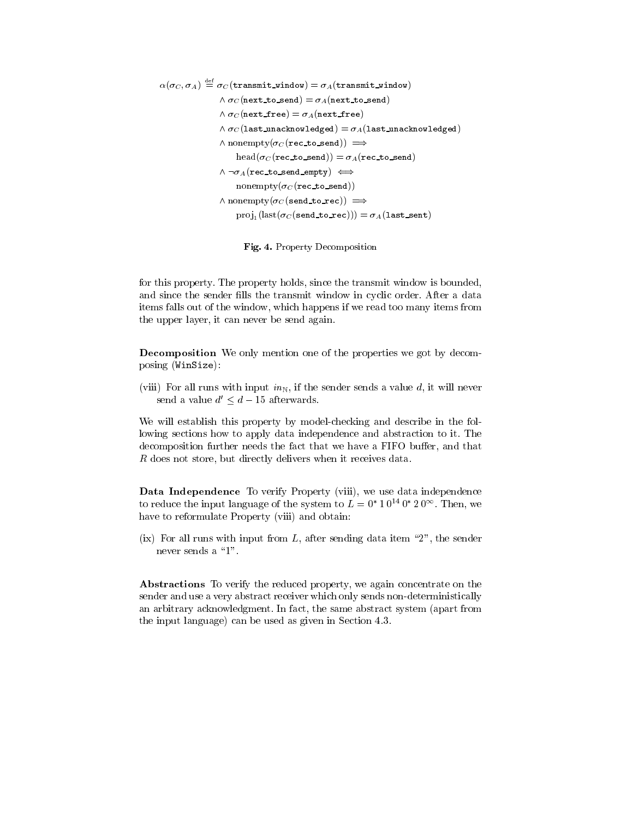```
\alpha(\sigma_C, \sigma_A) \stackrel{\text{def}}{=} \sigma_C(\text{transmit\_window}) = \sigma_A(\text{transmit\_window})\wedge \sigma_C (next to send) = \sigma_A(next to send)
                     \wedge \sigma_C (next free) = \sigma_A(next free)
                     \wedge \sigma_C (last_unacknowledged) = \sigma_A(last_unacknowledged)
                     \land nonempty(\sigma_C(rec_to_send)) \implieshead(\sigma_C(\texttt{rec-to\_send})) = \sigma_A(\texttt{rec-to\_send})\wedge \neg \sigma_A(rec_to_send_empty) \iffnonempty(\sigma_C(\texttt{rec_to\_send}))\land nonempty(\sigma_C(send_to_rec)) \impliesproj_1(last(\sigma_C(send_to_rec))) = \sigma_A(last_set)
```
Fig. 4. Property Decomposition

for this property. The property holds, since the transmit window is bounded, and since the sender fills the transmit window in cyclic order. After a data items falls out of the window, which happens if we read too many items from the upper layer, it can never be send again.

Decomposition We only mention one of the properties we got by decomposing (WinSize):

(viii) For all runs with input  $in_{\mathbb{N}}$ , if the sender sends a value d, it will never send a value  $d' < d - 15$  afterwards.

We will establish this property by model-checking and describe in the following sections how to apply data independence and abstraction to it. The decomposition further needs the fact that we have a FIFO buffer, and that <sup>R</sup> does not store, but directly delivers when it receives data.

Data Independence To verify Property (viii), we use data independence to reduce the input language of the system to  $L = 0^* 10^{14} 0^* 20^{\infty}$ . Then, we have to reformulate Property (viii) and obtain:

(ix) For all runs with input from  $L$ , after sending data item "2", the sender never sends a "1".

Abstractions To verify the reduced property, we again concentrate on the sender and use a very abstract receiver which only sends non-deterministically an arbitrary acknowledgment. In fact, the same abstract system (apart from the input language) can be used as given in Section 4.3.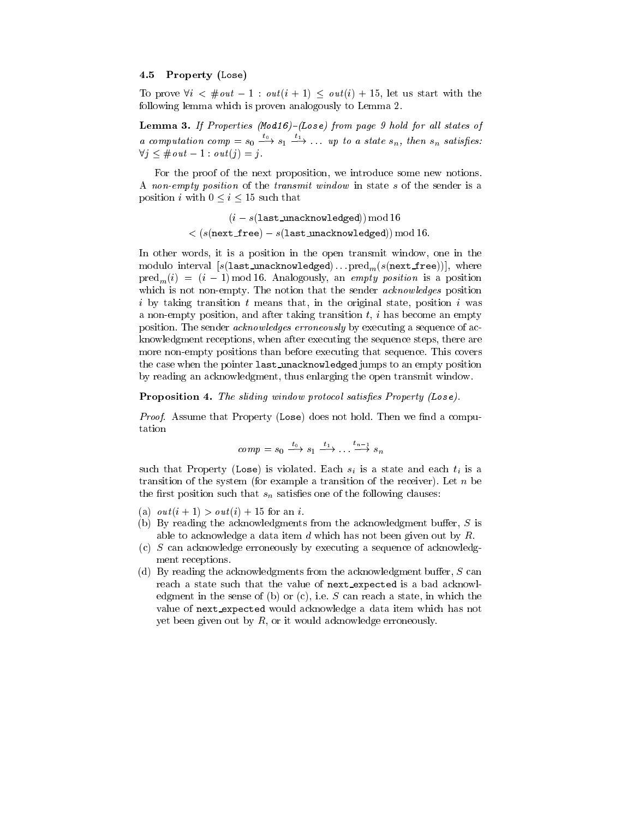### 4.5 Property (Lose)

To prove  $\forall i < \text{#}out - 1 : out(i + 1) \le out(i) + 15$ , let us start with the following lemma which is proven analogously to Lemma 2.

Lemma 3. If Properties (Mod16)-(Lose) from page 9 hold for all states of a computation comp =  $s_0 \longrightarrow s_1 \longrightarrow$  ... up to a state  $s_n$ , then  $s_n$  satisfies:  $\forall j \leq \text{\#}out - 1 : out(j) = j.$ 

For the proof of the next proposition, we introduce some new notions. A non-empty position of the transmit window in state <sup>s</sup> ofthe sender is a position i with  $0 \le i \le 15$  such that

> $(i - s($ last\_unacknowledged)) mod 16  $<$  (s(next\_free) - s(last\_unacknowledged)) mod 16.

In other words, it is a position in the open transmit window, one in the modulo interval [ $s$ (last\_unacknowledged)...pred<sub>m</sub>( $s$ (next\_free))], where  $\text{pred}_{m}(i) = (i - 1) \text{ mod } 16$ . Analogously, an *empty position* is a position which is not non-empty. The notion that the sender *acknowledges* position i by taking transition t means that, in the original state, position i was a non-empty position, and after taking transition  $t$ , i has become an empty position. The sender *acknowledges erroneously* by executing a sequence of acknowledgment receptions, when after executing the sequence steps, there are more non-empty positions than before executing that sequence. This covers the case when the pointer last unacknowledged jumps to an empty position by reading an acknowledgment, thus enlarging the open transmit window.

Proposition 4. The sliding window protocol satisfies Property (Lose).

*Proof.* Assume that Property (Lose) does not hold. Then we find a computation

$$
comp = s_0 \xrightarrow{t_0} s_1 \xrightarrow{t_1} \dots \xrightarrow{t_{n-1}} s_n
$$

such that Property (Lose) is violated. Each  $s_i$  is a state and each  $t_i$  is a transition of the system (for example a transition of the receiver). Let  $n$  be the first position such that  $s_n$  satisfies one of the following clauses:

- (a)  $out(i + 1) > out(i) + 15$  for an i.
- (b) By reading the acknowledgments from the acknowledgment buffer,  $S$  is able to acknowledge a data item d which has not been given out by  $R$ .
- (c) S can acknowledge erroneously by executing a sequence of acknowledgment receptions.
- (d) By reading the acknowledgments from the acknowledgment buffer,  $S$  can reach a state such that the value of next expected is a bad acknowledgment in the sense of (b) or  $(c)$ , i.e. S can reach a state, in which the value of next expected would acknowledge a data item which has not yet been given out by  $R$ , or it would acknowledge erroneously.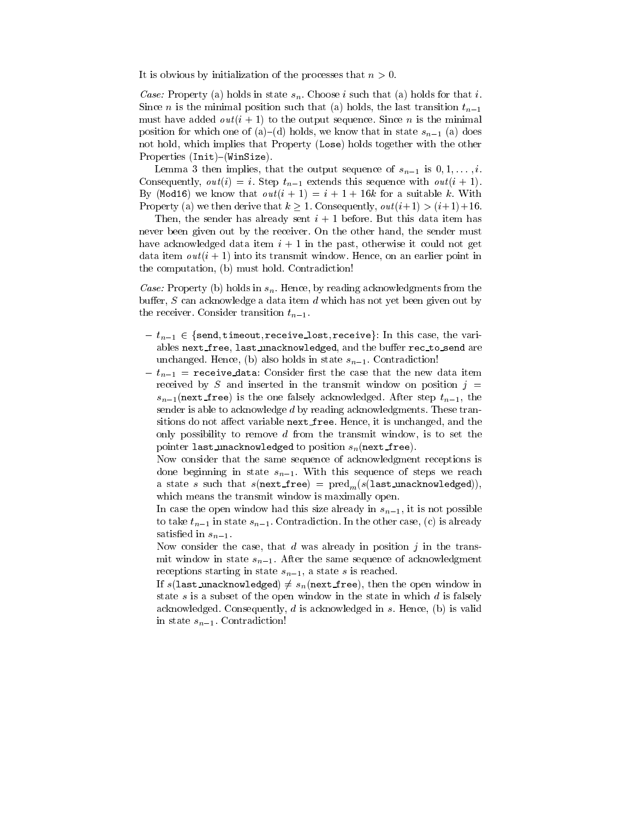It is obvious by initialization of the processes that  $n > 0$ .

Case: Property (a) holds in state  $s_n$ . Choose i such that (a) holds for that i. Since *n* is the minimal position such that (a) holds, the last transition  $t_{n-1}$ must have added  $out(i + 1)$  to the output sequence. Since *n* is the minimal position for which one of (a)–(d) holds, we know that in state  $s_{n-1}$  (a) does not hold, which implies that Property (Lose) holds together with the other Properties  $(Init)-(WinSize)$ .

Lemma 3 then implies, that the output sequence of  $s_{n-1}$  is  $0, 1, \ldots, i$ . Consequently,  $out(i) = i$ . Step  $t_{n-1}$  extends this sequence with  $out(i + 1)$ . By (Mod16) we know that  $out(i + 1) = i + 1 + 16k$  for a suitable k. With Property (a) we then derive that  $k > 1$ . Consequently,  $out(i+1) > (i+1)+16$ .

Then, the sender has already sent  $i + 1$  before. But this data item has never been given out by the receiver. On the other hand, the sender must have acknowledged data item  $i + 1$  in the past, otherwise it could not get data item  $out(i + 1)$  into its transmit window. Hence, on an earlier point in the computation, (b) must hold. Contradiction!

Case: Property (b) holds in  $s_n$ . Hence, by reading acknowledgments from the buffer,  $S$  can acknowledge a data item  $d$  which has not yet been given out by the receiver. Consider transition  $t_{n-1}$ .

- $t_{n-1} \in \{\text{send}, \text{timeout}, \text{receive\_lost}, \text{receive}\}$ : In this case, the variables next free, last unacknowledged, and the buffer recto-send are unchanged. Hence, (b) also holds in state  $s_{n-1}$ . Contradiction!
- $t_{n-1}$  = receive\_data: Consider first the case that the new data item received by S and inserted in the transmit window on position  $j =$  $s_{n-1}$ (next free) is the one falsely acknowledged. After step  $t_{n-1}$ , the sender is able to acknowledge <sup>d</sup> by reading acknowledgments. These transitions do not affect variable next free. Hence, it is unchanged, and the only possibility to remove d from the transmit window, is to set the pointer last unacknowledged to position  $s_n$ (next free).

Now consider that the same sequence of acknowledgment receptions is done beginning in state  $s_{n-1}$ . With this sequence of steps we reach a state s such that  $s(\texttt{next\_free}) = \texttt{pred}_{m}(s(\texttt{last\_unacknowled})),$ which means the transmit window is maximally open.

In case the open window had this size already in  $s_{n-1}$ , it is not possible to take  $t_{n-1}$  in state  $s_{n-1}$ . Contradiction. In the other case, (c) is already satisfied in  $s_{n-1}$ .

Now consider the case, that d was already in position  $j$  in the transmit window in state  $s_{n-1}$ . After the same sequence of acknowledgment receptions starting in state  $s_{n-1}$ , a state s is reached.

If s(last unacknowledged)  $\neq s_n$ (next free), then the open window in state s is a subset of the open window in the state in which  $d$  is falsely acknowledged. Consequently, <sup>d</sup> is acknowledged in s. Hence, (b) is valid in state  $s_{n-1}$ . Contradiction!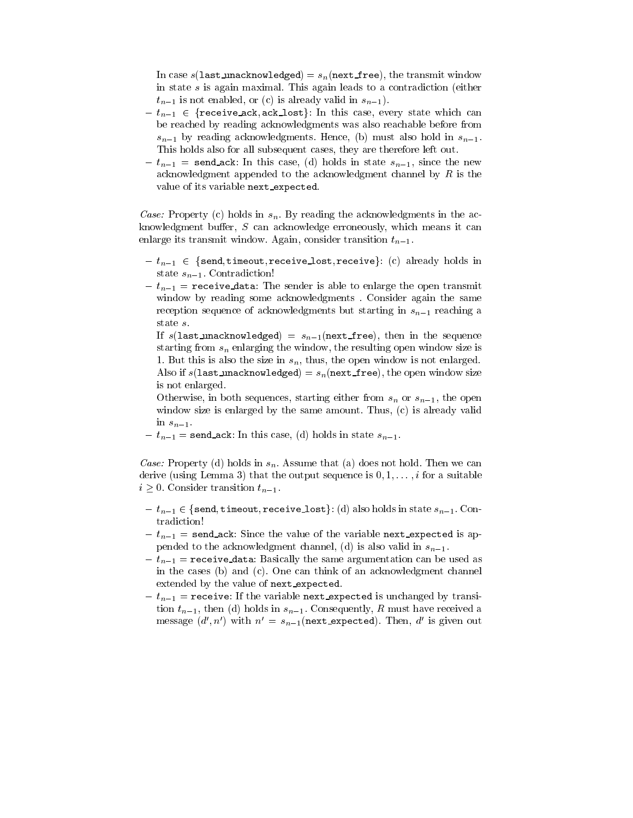In case s(last\_unacknowledged) =  $s_n$ (next\_free), the transmit window in state  $s$  is again maximal. This again leads to a contradiction (either  $t_{n-1}$  is not enabled, or (c) is already valid in  $s_{n-1}$ ).

- $t_{n-1} \in \{$ receive ack, ack lost}: In this case, every state which can be reached by reading acknowledgments was also reachable before from  $s_{n-1}$  by reading acknowledgments. Hence, (b) must also hold in  $s_{n-1}$ . This holds also for all subsequent cases, they are therefore left out.
- $t_{n-1}$  = send ack: In this case, (d) holds in state  $s_{n-1}$ , since the new acknowledgment appended to the acknowledgment channel by <sup>R</sup> is the value of its variable next\_expected.

Case: Property (c) holds in  $s_n$ . By reading the acknowledgments in the acknowledgment buffer,  $S$  can acknowledge erroneously, which means it can enlarge its transmit window. Again, consider transition  $t_{n-1}$ .

- $t_{n-1} \in \{$ send, timeout, receive lost, receive}: (c) already holds in state  $s_{n-1}$ . Contradiction!
- $t_{n-1}$  = receive data: The sender is able to enlarge the open transmit window by reading some acknowledgments . Consider again the same reception sequence of acknowledgments but starting in  $s_{n-1}$  reaching a state s.

If s(last\_unacknowledged) =  $s_{n-1}$ (next\_free), then in the sequence starting from  $s_n$  enlarging the window, the resulting open window size is 1. But this is also the size in  $s_n$ , thus, the open window is not enlarged. Also if s(last unacknowledged) =  $s_n$ (next\_free), the open window size is not enlarged.

Otherwise, in both sequences, starting either from  $s_n$  or  $s_{n-1}$ , the open window size is enlarged by the same amount. Thus, (c) is already valid in  $s_{n-1}$ .

 $t_{n-1}$  = send ack: In this case, (d) holds in state  $s_{n-1}$ .

Case: Property (d) holds in  $s_n$ . Assume that (a) does not hold. Then we can derive (using Lemma 3) that the output sequence is  $0,1,\ldots,i$  for a suitable  $i \geq 0$ . Consider transition  $t_{n-1}$ .

- ${t}_{n-1} \in {\text{send, timeout, receive_loss}}: (\text{d}) \text{ also holds in state } s_{n-1}.$  Contradiction!
- $t_{n-1}$  = send ack: Since the value of the variable next expected is appended to the acknowledgment channel, (d) is also valid in  $s_{n-1}$ .
- $t_{n-1}$  = receive data: Basically the same argumentation can be used as in the cases (b) and (c). One can think of an acknowledgment channel extended by the value of next expected.
- $t_{n-1}$  = receive: If the variable next expected is unchanged by transition  $t_{n-1}$ , then (d) holds in  $s_{n-1}$ . Consequently, R must have received a message  $(d', n')$  with  $n' = s_{n-1}$  (next expected). Then, d' is given out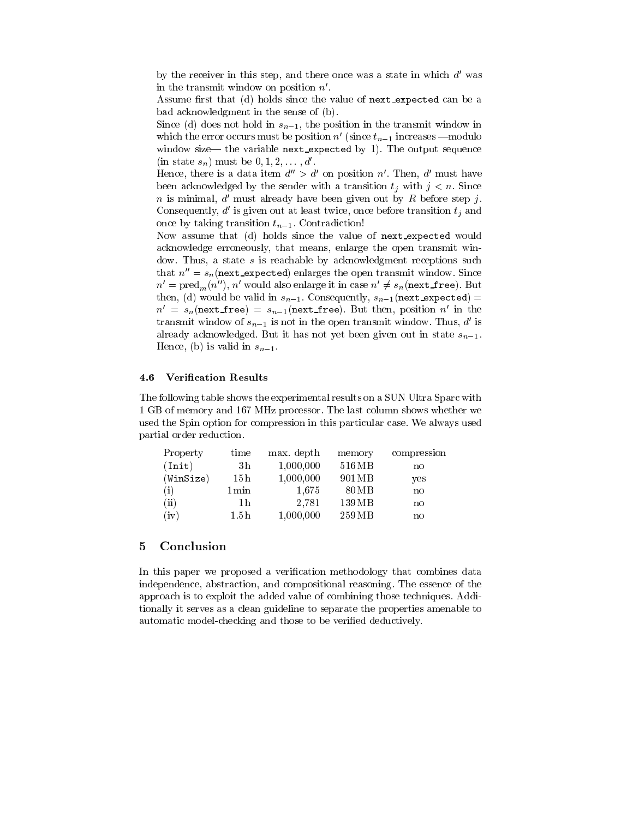by the receiver in this step, and there once was a state in which  $d'$  was in the transmit window on position  $n'$ .

Assume first that (d) holds since the value of next expected can be a bad acknowledgment in the sense of (b).

Since (d) does not hold in  $s_{n-1}$ , the position in the transmit window in which the error occurs must be position n' (since  $t_{n-1}$  increases —modulo window size— the variable next expected by 1). The output sequence (in state  $s_n$ ) must be  $0, 1, 2, \ldots, d'$ .

Hence, there is a data item  $d'' > d'$  on position n'. Then, d' must have been acknowledged by the sender with a transition  $t_i$  with  $j < n$ . Since n is minimal,  $d'$  must already have been given out by R before step j. Consequently,  $d'$  is given out at least twice, once before transition  $t_i$  and once by taking transition  $t_{n-1}$ . Contradiction!

Now assume that (d) holds since the value of next-expected would acknowledge erroneously, that means, enlarge the open transmit window. Thus, a state  $s$  is reachable by acknowledgment receptions such that  $n'' = s_n$ (next expected) enlarges the open transmit window. Since  $n' = \text{pred}_{m}(n'')$ , n' would also enlarge it in case  $n' \neq s_n(\text{next-free})$ . But then, (d) would be valid in  $s_{n-1}$ . Consequently,  $s_{n-1}$  (next expected) =  $n' = s_n(\text{next-free}) = s_{n-1}(\text{next-free})$ . But then, position n' in the transmit window of  $s_{n-1}$  is not in the open transmit window. Thus, d' is already acknowledged. But it has not yet been given out in state  $s_{n-1}$ . Hence, (b) is valid in  $s_{n-1}$ .

#### 4.6 Verication Results

The following table shows the experimental results on a SUN Ultra Sparc with 1 GB of memory and 167 MHz processor. The last column shows whether we used the Spin option for compression in this particular case. We always used partial order reduction.

| Property                 | time               | max. depth | memory | compression |
|--------------------------|--------------------|------------|--------|-------------|
| $(\text{Init})$          | 3 <sub>h</sub>     | 1,000,000  | 516MB  | no          |
| (Winsize)                | 15 h               | 1,000,000  | 901 MB | yes         |
|                          | $1 \,\mathrm{min}$ | 1.675      | 80MB   | no          |
| $\rm (ii)$               | 1 h                | 2.781      | 139 MB | no          |
| $\overline{\rm\bf (iv)}$ | 1.5 h              | 1,000,000  | 259 MB | no          |

# 5 Conclusion

In this paper we proposed a verification methodology that combines data independence, abstraction, and compositional reasoning. The essence of the approach is to exploit the added value of combining those techniques. Additionally it serves as a clean guideline to separate the properties amenable to automatic model-checking and those to be veried deductively.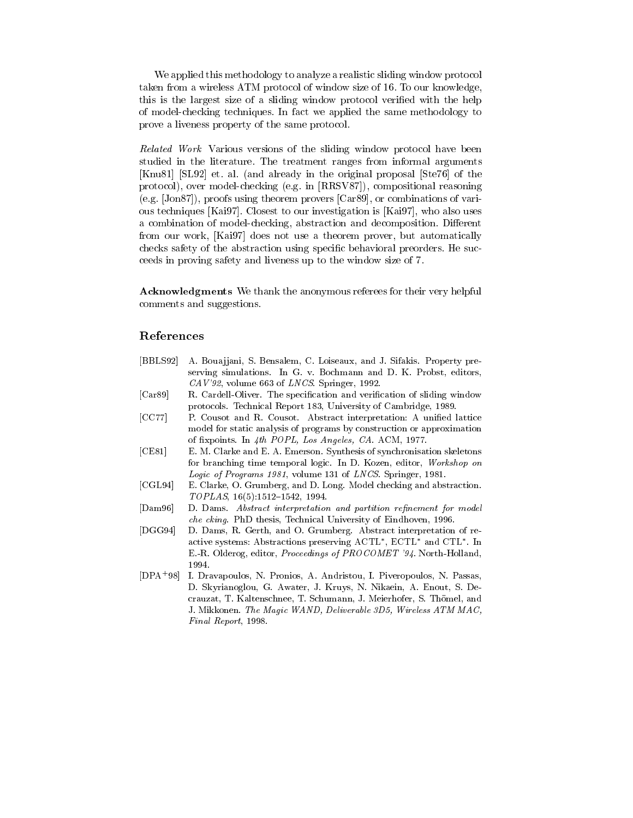We applied this methodology to analyze a realistic sliding window protocol taken from a wireless ATM protocol of window size of 16. To our knowledge, this is the largest size of a sliding window protocol veried with the help of model-checking techniques. In fact we applied the same methodology to prove a liveness property of the same protocol.

Related Work Various versions of the sliding window protocol have been studied in the literature. The treatment ranges from informal arguments [Knu81] [SL92] et. al. (and already in the original proposal [Ste76] of the protocol), over model-checking (e.g. in [RRSV87]), compositional reasoning (e.g. [Jon87]), proofs using theorem provers [Car89], or combinations of various techniques [Kai97]. Closest to our investigation is [Kai97], who also uses a combination of model-checking, abstraction and decomposition. Different from our work, [Kai97] does not use a theorem prover, but automatically checks safety of the abstraction using specic behavioral preorders. He succeeds in proving safety and liveness up to the window size of 7.

Acknowledgments We thank the anonymous referees for their very helpful comments and suggestions.

# References

- [BBLS92] A. Boua jjani, S. Bensalem, C. Loiseaux, and J. Sifakis. Property preserving simulations. In G. v. Bochmann and D. K. Probst, editors, CAV'92, volume 663 of LNCS. Springer, 1992.
- [Car89] R. Cardell-Oliver. The specication and verication of sliding window protocols. Technical Report 183, University of Cambridge, 1989.
- [CC77] P. Cousot and R. Cousot. Abstract interpretation: A unied lattice model for static analysis of programs by construction or approximation of xpoints. In 4th POPL, Los Angeles, CA. ACM, 1977.
- [CE81] E. M. Clarke and E. A. Emerson. Synthesis of synchronisation skeletons for branching time temporal logic. In D. Kozen, editor, Workshop on Logic of Programs 1981, volume 131 of LNCS. Springer, 1981.
- [CGL94] E. Clarke, O. Grumberg, and D. Long. Model checking and abstraction.  $TOPLAS$ ,  $16(5):1512-1542$ , 1994.
- [Dam96] D. Dams. Abstract interpretation and partition refinement for model che cking. PhD thesis, Technical University of Eindhoven, 1996.
- [DGG94] D. Dams, R. Gerth, and O. Grumberg. Abstract interpretation of reactive systems: Abstractions preserving ACTL , ECTL and CTL . In E.-R. Olderog, editor, Proceedings of PROCOMET '94. North-Holland, 1994.
- $[DPA+98]$ 98] I. Dravapoulos, N. Pronios, A. Andristou, I. Piveropoulos, N. Passas, D. Skyrianoglou, G. Awater, J. Kruys, N. Nikaein, A. Enout, S. Decrauzat, T. Kaltenschnee, T. Schumann, J. Meierhofer, S. Thomel, and J. Mikkonen. The Magic WAND, Deliverable 3D5, Wireless ATM MAC, Final Report, 1998.